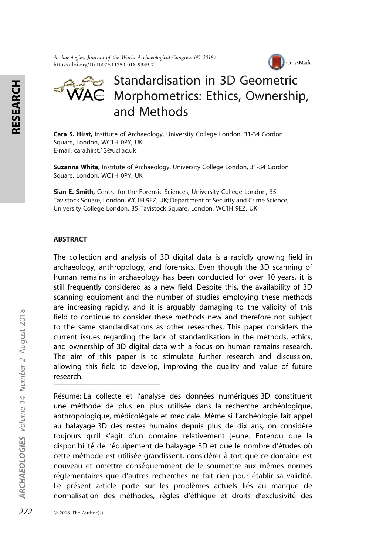Archaeologies: Journal of the World Archaeological Congress (© 2018) https://doi.org/10.1007/s11759-018-9349-7



# Standardisation in 3D Geometric  $\mathsf{VAC}\;$  Morphometrics: Ethics, Ownership, and Methods

Cara S. Hirst, Institute of Archaeology, University College London, 31-34 Gordon Square, London, WC1H 0PY, UK E-mail: cara.hirst.13@ucl.ac.uk

Suzanna White, Institute of Archaeology, University College London, 31-34 Gordon Square, London, WC1H 0PY, UK

Sian E. Smith, Centre for the Forensic Sciences, University College London, 35 Tavistock Square, London, WC1H 9EZ, UK; Department of Security and Crime Science, University College London, 35 Tavistock Square, London, WC1H 9EZ, UK

#### ABSTRACT

The collection and analysis of 3D digital data is a rapidly growing field in archaeology, anthropology, and forensics. Even though the 3D scanning of human remains in archaeology has been conducted for over 10 years, it is still frequently considered as a new field. Despite this, the availability of 3D scanning equipment and the number of studies employing these methods are increasing rapidly, and it is arguably damaging to the validity of this field to continue to consider these methods new and therefore not subject to the same standardisations as other researches. This paper considers the current issues regarding the lack of standardisation in the methods, ethics, and ownership of 3D digital data with a focus on human remains research. The aim of this paper is to stimulate further research and discussion, allowing this field to develop, improving the quality and value of future research.

Résumé: La collecte et l'analyse des données numériques 3D constituent une méthode de plus en plus utilisée dans la recherche archéologique, anthropologique, médicolégale et médicale. Même si l'archéologie fait appel au balayage 3D des restes humains depuis plus de dix ans, on considère toujours qu'il s'agit d'un domaine relativement jeune. Entendu que la disponibilité de l'équipement de balayage 3D et que le nombre d'études où cette méthode est utilisée grandissent, considérer à tort que ce domaine est nouveau et omettre conséquemment de le soumettre aux mêmes normes réglementaires que d'autres recherches ne fait rien pour établir sa validité. Le présent article porte sur les problèmes actuels liés au manque de normalisation des méthodes, règles d'éthique et droits d'exclusivité des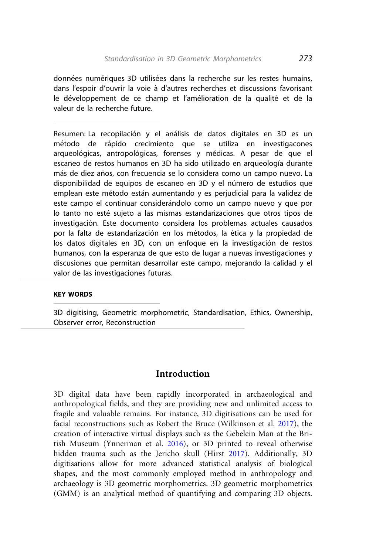données numériques 3D utilisées dans la recherche sur les restes humains, dans l'espoir d'ouvrir la voie à d'autres recherches et discussions favorisant le développement de ce champ et l'amélioration de la qualité et de la valeur de la recherche future.

Resumen: La recopilación y el análisis de datos digitales en 3D es un método de rápido crecimiento que se utiliza en investigacones arqueológicas, antropológicas, forenses y médicas. A pesar de que el escaneo de restos humanos en 3D ha sido utilizado en arqueología durante más de diez años, con frecuencia se lo considera como un campo nuevo. La disponibilidad de equipos de escaneo en 3D y el número de estudios que emplean este método están aumentando y es perjudicial para la validez de este campo el continuar considerándolo como un campo nuevo y que por lo tanto no esté sujeto a las mismas estandarizaciones que otros tipos de investigación. Este documento considera los problemas actuales causados por la falta de estandarización en los métodos, la ética y la propiedad de los datos digitales en 3D, con un enfoque en la investigación de restos humanos, con la esperanza de que esto de lugar a nuevas investigaciones y discusiones que permitan desarrollar este campo, mejorando la calidad y el valor de las investigaciones futuras.

#### KEY WORDS

3D digitising, Geometric morphometric, Standardisation, Ethics, Ownership, Observer error, Reconstruction

# Introduction

3D digital data have been rapidly incorporated in archaeological and anthropological fields, and they are providing new and unlimited access to fragile and valuable remains. For instance, 3D digitisations can be used for facial reconstructions such as Robert the Bruce (Wilkinson et al. [2017\)](#page-26-0), the creation of interactive virtual displays such as the Gebelein Man at the British Museum (Ynnerman et al. [2016\)](#page-26-0), or 3D printed to reveal otherwise hidden trauma such as the Jericho skull (Hirst [2017\)](#page-20-0). Additionally, 3D digitisations allow for more advanced statistical analysis of biological shapes, and the most commonly employed method in anthropology and archaeology is 3D geometric morphometrics. 3D geometric morphometrics (GMM) is an analytical method of quantifying and comparing 3D objects.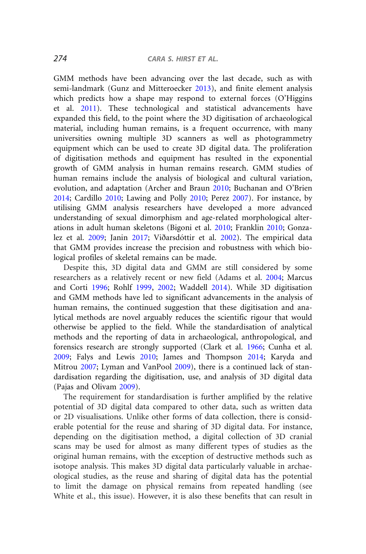GMM methods have been advancing over the last decade, such as with semi-landmark (Gunz and Mitteroecker [2013\)](#page-20-0), and finite element analysis which predicts how a shape may respond to external forces (O'Higgins et al. [2011](#page-23-0)). These technological and statistical advancements have expanded this field, to the point where the 3D digitisation of archaeological material, including human remains, is a frequent occurrence, with many universities owning multiple 3D scanners as well as photogrammetry equipment which can be used to create 3D digital data. The proliferation of digitisation methods and equipment has resulted in the exponential growth of GMM analysis in human remains research. GMM studies of human remains include the analysis of biological and cultural variation, evolution, and adaptation (Archer and Braun [2010;](#page-16-0) Buchanan and O'Brien [2014](#page-17-0); Cardillo [2010;](#page-17-0) Lawing and Polly [2010](#page-21-0); Perez [2007](#page-24-0)). For instance, by utilising GMM analysis researchers have developed a more advanced understanding of sexual dimorphism and age-related morphological alterations in adult human skeletons (Bigoni et al. [2010;](#page-16-0) Franklin [2010;](#page-19-0) Gonza-lez et al. [2009](#page-19-0); Janin [2017;](#page-21-0) Viðarsdóttir et al. [2002](#page-25-0)). The empirical data that GMM provides increase the precision and robustness with which biological profiles of skeletal remains can be made.

Despite this, 3D digital data and GMM are still considered by some researchers as a relatively recent or new field (Adams et al. [2004](#page-16-0); Marcus and Corti [1996](#page-22-0); Rohlf [1999](#page-24-0), [2002;](#page-24-0) Waddell [2014](#page-25-0)). While 3D digitisation and GMM methods have led to significant advancements in the analysis of human remains, the continued suggestion that these digitisation and analytical methods are novel arguably reduces the scientific rigour that would otherwise be applied to the field. While the standardisation of analytical methods and the reporting of data in archaeological, anthropological, and forensics research are strongly supported (Clark et al. [1966;](#page-18-0) Cunha et al. [2009](#page-18-0); Falys and Lewis [2010](#page-18-0); James and Thompson [2014;](#page-20-0) Karyda and Mitrou [2007;](#page-21-0) Lyman and VanPool [2009\)](#page-21-0), there is a continued lack of standardisation regarding the digitisation, use, and analysis of 3D digital data (Pajas and Olivam [2009](#page-23-0)).

The requirement for standardisation is further amplified by the relative potential of 3D digital data compared to other data, such as written data or 2D visualisations. Unlike other forms of data collection, there is considerable potential for the reuse and sharing of 3D digital data. For instance, depending on the digitisation method, a digital collection of 3D cranial scans may be used for almost as many different types of studies as the original human remains, with the exception of destructive methods such as isotope analysis. This makes 3D digital data particularly valuable in archaeological studies, as the reuse and sharing of digital data has the potential to limit the damage on physical remains from repeated handling (see White et al., this issue). However, it is also these benefits that can result in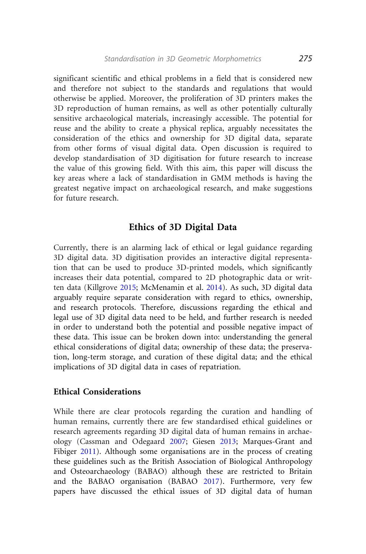significant scientific and ethical problems in a field that is considered new and therefore not subject to the standards and regulations that would otherwise be applied. Moreover, the proliferation of 3D printers makes the 3D reproduction of human remains, as well as other potentially culturally sensitive archaeological materials, increasingly accessible. The potential for reuse and the ability to create a physical replica, arguably necessitates the consideration of the ethics and ownership for 3D digital data, separate from other forms of visual digital data. Open discussion is required to develop standardisation of 3D digitisation for future research to increase the value of this growing field. With this aim, this paper will discuss the key areas where a lack of standardisation in GMM methods is having the greatest negative impact on archaeological research, and make suggestions for future research.

# Ethics of 3D Digital Data

Currently, there is an alarming lack of ethical or legal guidance regarding 3D digital data. 3D digitisation provides an interactive digital representation that can be used to produce 3D-printed models, which significantly increases their data potential, compared to 2D photographic data or written data (Killgrove [2015](#page-21-0); McMenamin et al. [2014](#page-22-0)). As such, 3D digital data arguably require separate consideration with regard to ethics, ownership, and research protocols. Therefore, discussions regarding the ethical and legal use of 3D digital data need to be held, and further research is needed in order to understand both the potential and possible negative impact of these data. This issue can be broken down into: understanding the general ethical considerations of digital data; ownership of these data; the preservation, long-term storage, and curation of these digital data; and the ethical implications of 3D digital data in cases of repatriation.

### Ethical Considerations

While there are clear protocols regarding the curation and handling of human remains, currently there are few standardised ethical guidelines or research agreements regarding 3D digital data of human remains in archaeology (Cassman and Odegaard [2007](#page-17-0); Giesen [2013](#page-19-0); Marques-Grant and Fibiger [2011\)](#page-22-0). Although some organisations are in the process of creating these guidelines such as the British Association of Biological Anthropology and Osteoarchaeology (BABAO) although these are restricted to Britain and the BABAO organisation (BABAO [2017\)](#page-16-0). Furthermore, very few papers have discussed the ethical issues of 3D digital data of human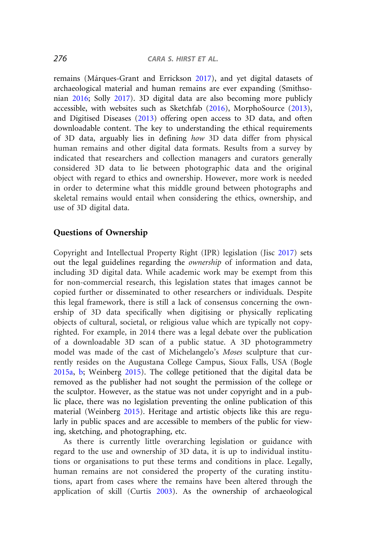remains (Márques-Grant and Errickson [2017\)](#page-22-0), and yet digital datasets of archaeological material and human remains are ever expanding (Smithsonian [2016;](#page-25-0) Solly [2017](#page-25-0)). 3D digital data are also becoming more publicly accessible, with websites such as Sketchfab [\(2016](#page-24-0)), MorphoSource ([2013\)](#page-22-0), and Digitised Diseases ([2013\)](#page-18-0) offering open access to 3D data, and often downloadable content. The key to understanding the ethical requirements of 3D data, arguably lies in defining how 3D data differ from physical human remains and other digital data formats. Results from a survey by indicated that researchers and collection managers and curators generally considered 3D data to lie between photographic data and the original object with regard to ethics and ownership. However, more work is needed in order to determine what this middle ground between photographs and skeletal remains would entail when considering the ethics, ownership, and use of 3D digital data.

### Questions of Ownership

Copyright and Intellectual Property Right (IPR) legislation (Jisc [2017](#page-21-0)) sets out the legal guidelines regarding the ownership of information and data, including 3D digital data. While academic work may be exempt from this for non-commercial research, this legislation states that images cannot be copied further or disseminated to other researchers or individuals. Despite this legal framework, there is still a lack of consensus concerning the ownership of 3D data specifically when digitising or physically replicating objects of cultural, societal, or religious value which are typically not copyrighted. For example, in 2014 there was a legal debate over the publication of a downloadable 3D scan of a public statue. A 3D photogrammetry model was made of the cast of Michelangelo's Moses sculpture that currently resides on the Augustana College Campus, Sioux Falls, USA (Bogle [2015a,](#page-17-0) [b;](#page-17-0) Weinberg [2015](#page-26-0)). The college petitioned that the digital data be removed as the publisher had not sought the permission of the college or the sculptor. However, as the statue was not under copyright and in a public place, there was no legislation preventing the online publication of this material (Weinberg [2015\)](#page-26-0). Heritage and artistic objects like this are regularly in public spaces and are accessible to members of the public for viewing, sketching, and photographing, etc.

As there is currently little overarching legislation or guidance with regard to the use and ownership of 3D data, it is up to individual institutions or organisations to put these terms and conditions in place. Legally, human remains are not considered the property of the curating institutions, apart from cases where the remains have been altered through the application of skill (Curtis [2003](#page-18-0)). As the ownership of archaeological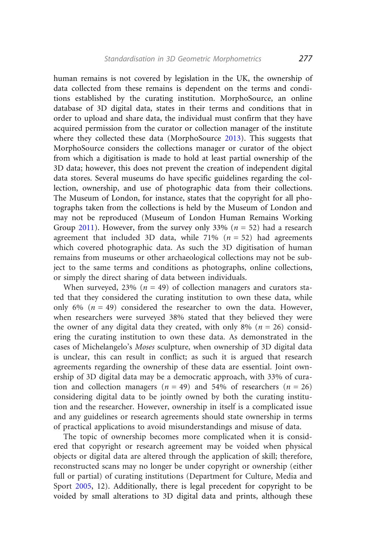human remains is not covered by legislation in the UK, the ownership of data collected from these remains is dependent on the terms and conditions established by the curating institution. MorphoSource, an online database of 3D digital data, states in their terms and conditions that in order to upload and share data, the individual must confirm that they have acquired permission from the curator or collection manager of the institute where they collected these data (MorphoSource [2013](#page-22-0)). This suggests that MorphoSource considers the collections manager or curator of the object from which a digitisation is made to hold at least partial ownership of the 3D data; however, this does not prevent the creation of independent digital data stores. Several museums do have specific guidelines regarding the collection, ownership, and use of photographic data from their collections. The Museum of London, for instance, states that the copyright for all photographs taken from the collections is held by the Museum of London and may not be reproduced (Museum of London Human Remains Working Group [2011](#page-22-0)). However, from the survey only 33% ( $n = 52$ ) had a research agreement that included 3D data, while 71% ( $n = 52$ ) had agreements which covered photographic data. As such the 3D digitisation of human remains from museums or other archaeological collections may not be subject to the same terms and conditions as photographs, online collections, or simply the direct sharing of data between individuals.

When surveyed, 23% ( $n = 49$ ) of collection managers and curators stated that they considered the curating institution to own these data, while only 6% ( $n = 49$ ) considered the researcher to own the data. However, when researchers were surveyed 38% stated that they believed they were the owner of any digital data they created, with only 8% ( $n = 26$ ) considering the curating institution to own these data. As demonstrated in the cases of Michelangelo's Moses sculpture, when ownership of 3D digital data is unclear, this can result in conflict; as such it is argued that research agreements regarding the ownership of these data are essential. Joint ownership of 3D digital data may be a democratic approach, with 33% of curation and collection managers ( $n = 49$ ) and 54% of researchers ( $n = 26$ ) considering digital data to be jointly owned by both the curating institution and the researcher. However, ownership in itself is a complicated issue and any guidelines or research agreements should state ownership in terms of practical applications to avoid misunderstandings and misuse of data.

The topic of ownership becomes more complicated when it is considered that copyright or research agreement may be voided when physical objects or digital data are altered through the application of skill; therefore, reconstructed scans may no longer be under copyright or ownership (either full or partial) of curating institutions (Department for Culture, Media and Sport [2005,](#page-18-0) 12). Additionally, there is legal precedent for copyright to be voided by small alterations to 3D digital data and prints, although these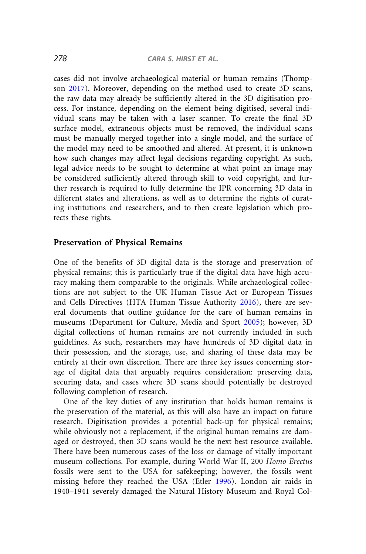cases did not involve archaeological material or human remains (Thompson [2017\)](#page-25-0). Moreover, depending on the method used to create 3D scans, the raw data may already be sufficiently altered in the 3D digitisation process. For instance, depending on the element being digitised, several individual scans may be taken with a laser scanner. To create the final 3D surface model, extraneous objects must be removed, the individual scans must be manually merged together into a single model, and the surface of the model may need to be smoothed and altered. At present, it is unknown how such changes may affect legal decisions regarding copyright. As such, legal advice needs to be sought to determine at what point an image may be considered sufficiently altered through skill to void copyright, and further research is required to fully determine the IPR concerning 3D data in different states and alterations, as well as to determine the rights of curating institutions and researchers, and to then create legislation which protects these rights.

### Preservation of Physical Remains

One of the benefits of 3D digital data is the storage and preservation of physical remains; this is particularly true if the digital data have high accuracy making them comparable to the originals. While archaeological collections are not subject to the UK Human Tissue Act or European Tissues and Cells Directives (HTA Human Tissue Authority [2016\)](#page-20-0), there are several documents that outline guidance for the care of human remains in museums (Department for Culture, Media and Sport [2005](#page-18-0)); however, 3D digital collections of human remains are not currently included in such guidelines. As such, researchers may have hundreds of 3D digital data in their possession, and the storage, use, and sharing of these data may be entirely at their own discretion. There are three key issues concerning storage of digital data that arguably requires consideration: preserving data, securing data, and cases where 3D scans should potentially be destroyed following completion of research.

One of the key duties of any institution that holds human remains is the preservation of the material, as this will also have an impact on future research. Digitisation provides a potential back-up for physical remains; while obviously not a replacement, if the original human remains are damaged or destroyed, then 3D scans would be the next best resource available. There have been numerous cases of the loss or damage of vitally important museum collections. For example, during World War II, 200 Homo Erectus fossils were sent to the USA for safekeeping; however, the fossils went missing before they reached the USA (Etler [1996\)](#page-18-0). London air raids in 1940–1941 severely damaged the Natural History Museum and Royal Col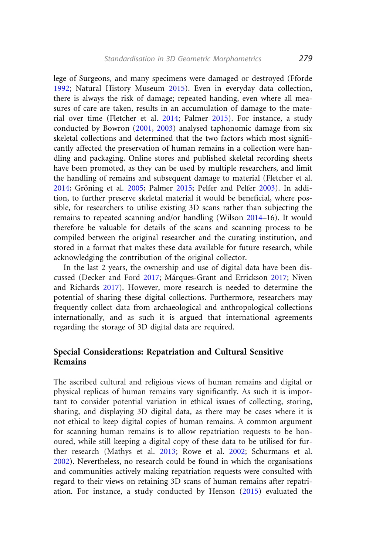lege of Surgeons, and many specimens were damaged or destroyed (Fforde [1992](#page-18-0); Natural History Museum [2015](#page-23-0)). Even in everyday data collection, there is always the risk of damage; repeated handing, even where all measures of care are taken, results in an accumulation of damage to the material over time (Fletcher et al. [2014](#page-19-0); Palmer [2015\)](#page-23-0). For instance, a study conducted by Bowron [\(2001](#page-17-0), [2003\)](#page-17-0) analysed taphonomic damage from six skeletal collections and determined that the two factors which most significantly affected the preservation of human remains in a collection were handling and packaging. Online stores and published skeletal recording sheets have been promoted, as they can be used by multiple researchers, and limit the handling of remains and subsequent damage to material (Fletcher et al. [2014](#page-19-0); Gröning et al. [2005](#page-19-0); Palmer [2015;](#page-23-0) Pelfer and Pelfer [2003](#page-23-0)). In addition, to further preserve skeletal material it would be beneficial, where possible, for researchers to utilise existing 3D scans rather than subjecting the remains to repeated scanning and/or handling (Wilson [2014](#page-26-0)–16). It would therefore be valuable for details of the scans and scanning process to be compiled between the original researcher and the curating institution, and stored in a format that makes these data available for future research, while acknowledging the contribution of the original collector.

In the last 2 years, the ownership and use of digital data have been dis-cussed (Decker and Ford [2017](#page-18-0); Márques-Grant and Errickson [2017;](#page-22-0) Niven and Richards [2017\)](#page-23-0). However, more research is needed to determine the potential of sharing these digital collections. Furthermore, researchers may frequently collect data from archaeological and anthropological collections internationally, and as such it is argued that international agreements regarding the storage of 3D digital data are required.

### Special Considerations: Repatriation and Cultural Sensitive Remains

The ascribed cultural and religious views of human remains and digital or physical replicas of human remains vary significantly. As such it is important to consider potential variation in ethical issues of collecting, storing, sharing, and displaying 3D digital data, as there may be cases where it is not ethical to keep digital copies of human remains. A common argument for scanning human remains is to allow repatriation requests to be honoured, while still keeping a digital copy of these data to be utilised for further research (Mathys et al. [2013](#page-22-0); Rowe et al. [2002](#page-24-0); Schurmans et al. [2002](#page-24-0)). Nevertheless, no research could be found in which the organisations and communities actively making repatriation requests were consulted with regard to their views on retaining 3D scans of human remains after repatriation. For instance, a study conducted by Henson [\(2015](#page-20-0)) evaluated the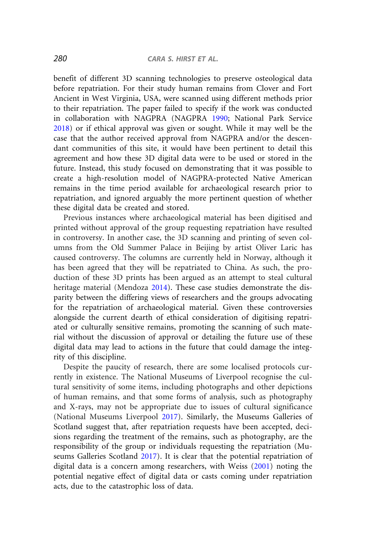benefit of different 3D scanning technologies to preserve osteological data before repatriation. For their study human remains from Clover and Fort Ancient in West Virginia, USA, were scanned using different methods prior to their repatriation. The paper failed to specify if the work was conducted in collaboration with NAGPRA (NAGPRA [1990;](#page-22-0) National Park Service [2018](#page-23-0)) or if ethical approval was given or sought. While it may well be the case that the author received approval from NAGPRA and/or the descendant communities of this site, it would have been pertinent to detail this agreement and how these 3D digital data were to be used or stored in the future. Instead, this study focused on demonstrating that it was possible to create a high-resolution model of NAGPRA-protected Native American remains in the time period available for archaeological research prior to repatriation, and ignored arguably the more pertinent question of whether these digital data be created and stored.

Previous instances where archaeological material has been digitised and printed without approval of the group requesting repatriation have resulted in controversy. In another case, the 3D scanning and printing of seven columns from the Old Summer Palace in Beijing by artist Oliver Laric has caused controversy. The columns are currently held in Norway, although it has been agreed that they will be repatriated to China. As such, the production of these 3D prints has been argued as an attempt to steal cultural heritage material (Mendoza [2014](#page-22-0)). These case studies demonstrate the disparity between the differing views of researchers and the groups advocating for the repatriation of archaeological material. Given these controversies alongside the current dearth of ethical consideration of digitising repatriated or culturally sensitive remains, promoting the scanning of such material without the discussion of approval or detailing the future use of these digital data may lead to actions in the future that could damage the integrity of this discipline.

Despite the paucity of research, there are some localised protocols currently in existence. The National Museums of Liverpool recognise the cultural sensitivity of some items, including photographs and other depictions of human remains, and that some forms of analysis, such as photography and X-rays, may not be appropriate due to issues of cultural significance (National Museums Liverpool [2017\)](#page-23-0). Similarly, the Museums Galleries of Scotland suggest that, after repatriation requests have been accepted, decisions regarding the treatment of the remains, such as photography, are the responsibility of the group or individuals requesting the repatriation (Museums Galleries Scotland [2017](#page-22-0)). It is clear that the potential repatriation of digital data is a concern among researchers, with Weiss [\(2001](#page-26-0)) noting the potential negative effect of digital data or casts coming under repatriation acts, due to the catastrophic loss of data.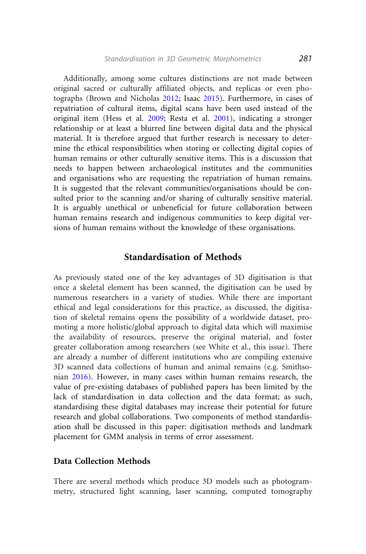Additionally, among some cultures distinctions are not made between original sacred or culturally affiliated objects, and replicas or even photographs (Brown and Nicholas [2012;](#page-17-0) Isaac [2015\)](#page-20-0). Furthermore, in cases of repatriation of cultural items, digital scans have been used instead of the original item (Hess et al. [2009;](#page-20-0) Resta et al. [2001\)](#page-24-0), indicating a stronger relationship or at least a blurred line between digital data and the physical material. It is therefore argued that further research is necessary to determine the ethical responsibilities when storing or collecting digital copies of human remains or other culturally sensitive items. This is a discussion that needs to happen between archaeological institutes and the communities and organisations who are requesting the repatriation of human remains. It is suggested that the relevant communities/organisations should be consulted prior to the scanning and/or sharing of culturally sensitive material. It is arguably unethical or unbeneficial for future collaboration between human remains research and indigenous communities to keep digital versions of human remains without the knowledge of these organisations.

### Standardisation of Methods

As previously stated one of the key advantages of 3D digitisation is that once a skeletal element has been scanned, the digitisation can be used by numerous researchers in a variety of studies. While there are important ethical and legal considerations for this practice, as discussed, the digitisation of skeletal remains opens the possibility of a worldwide dataset, promoting a more holistic/global approach to digital data which will maximise the availability of resources, preserve the original material, and foster greater collaboration among researchers (see White et al., this issue). There are already a number of different institutions who are compiling extensive 3D scanned data collections of human and animal remains (e.g. Smithsonian [2016\)](#page-25-0). However, in many cases within human remains research, the value of pre-existing databases of published papers has been limited by the lack of standardisation in data collection and the data format; as such, standardising these digital databases may increase their potential for future research and global collaborations. Two components of method standardisation shall be discussed in this paper: digitisation methods and landmark placement for GMM analysis in terms of error assessment.

### Data Collection Methods

There are several methods which produce 3D models such as photogrammetry, structured light scanning, laser scanning, computed tomography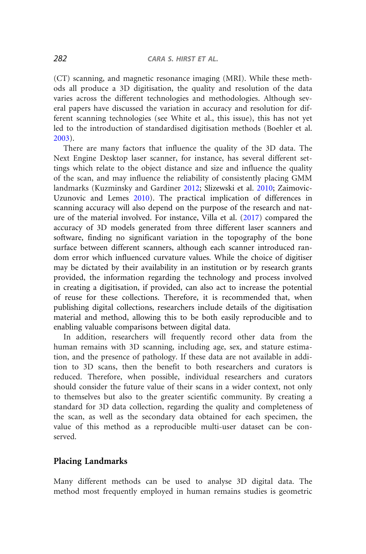(CT) scanning, and magnetic resonance imaging (MRI). While these methods all produce a 3D digitisation, the quality and resolution of the data varies across the different technologies and methodologies. Although several papers have discussed the variation in accuracy and resolution for different scanning technologies (see White et al., this issue), this has not yet led to the introduction of standardised digitisation methods (Boehler et al. [2003](#page-17-0)).

There are many factors that influence the quality of the 3D data. The Next Engine Desktop laser scanner, for instance, has several different settings which relate to the object distance and size and influence the quality of the scan, and may influence the reliability of consistently placing GMM landmarks (Kuzminsky and Gardiner [2012;](#page-21-0) Slizewski et al. [2010;](#page-25-0) Zaimovic-Uzunovic and Lemes [2010\)](#page-26-0). The practical implication of differences in scanning accuracy will also depend on the purpose of the research and nature of the material involved. For instance, Villa et al. [\(2017](#page-25-0)) compared the accuracy of 3D models generated from three different laser scanners and software, finding no significant variation in the topography of the bone surface between different scanners, although each scanner introduced random error which influenced curvature values. While the choice of digitiser may be dictated by their availability in an institution or by research grants provided, the information regarding the technology and process involved in creating a digitisation, if provided, can also act to increase the potential of reuse for these collections. Therefore, it is recommended that, when publishing digital collections, researchers include details of the digitisation material and method, allowing this to be both easily reproducible and to enabling valuable comparisons between digital data.

In addition, researchers will frequently record other data from the human remains with 3D scanning, including age, sex, and stature estimation, and the presence of pathology. If these data are not available in addition to 3D scans, then the benefit to both researchers and curators is reduced. Therefore, when possible, individual researchers and curators should consider the future value of their scans in a wider context, not only to themselves but also to the greater scientific community. By creating a standard for 3D data collection, regarding the quality and completeness of the scan, as well as the secondary data obtained for each specimen, the value of this method as a reproducible multi-user dataset can be conserved.

### Placing Landmarks

Many different methods can be used to analyse 3D digital data. The method most frequently employed in human remains studies is geometric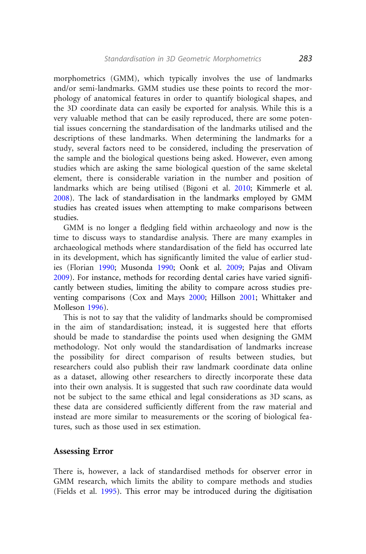morphometrics (GMM), which typically involves the use of landmarks and/or semi-landmarks. GMM studies use these points to record the morphology of anatomical features in order to quantify biological shapes, and the 3D coordinate data can easily be exported for analysis. While this is a very valuable method that can be easily reproduced, there are some potential issues concerning the standardisation of the landmarks utilised and the descriptions of these landmarks. When determining the landmarks for a study, several factors need to be considered, including the preservation of the sample and the biological questions being asked. However, even among studies which are asking the same biological question of the same skeletal element, there is considerable variation in the number and position of landmarks which are being utilised (Bigoni et al. [2010;](#page-16-0) Kimmerle et al. [2008](#page-21-0)). The lack of standardisation in the landmarks employed by GMM studies has created issues when attempting to make comparisons between studies.

GMM is no longer a fledgling field within archaeology and now is the time to discuss ways to standardise analysis. There are many examples in archaeological methods where standardisation of the field has occurred late in its development, which has significantly limited the value of earlier studies (Florian [1990](#page-19-0); Musonda [1990](#page-22-0); Oonk et al. [2009;](#page-23-0) Pajas and Olivam [2009](#page-23-0)). For instance, methods for recording dental caries have varied significantly between studies, limiting the ability to compare across studies preventing comparisons (Cox and Mays [2000;](#page-18-0) Hillson [2001;](#page-20-0) Whittaker and Molleson [1996](#page-26-0)).

This is not to say that the validity of landmarks should be compromised in the aim of standardisation; instead, it is suggested here that efforts should be made to standardise the points used when designing the GMM methodology. Not only would the standardisation of landmarks increase the possibility for direct comparison of results between studies, but researchers could also publish their raw landmark coordinate data online as a dataset, allowing other researchers to directly incorporate these data into their own analysis. It is suggested that such raw coordinate data would not be subject to the same ethical and legal considerations as 3D scans, as these data are considered sufficiently different from the raw material and instead are more similar to measurements or the scoring of biological features, such as those used in sex estimation.

### Assessing Error

There is, however, a lack of standardised methods for observer error in GMM research, which limits the ability to compare methods and studies (Fields et al. [1995](#page-19-0)). This error may be introduced during the digitisation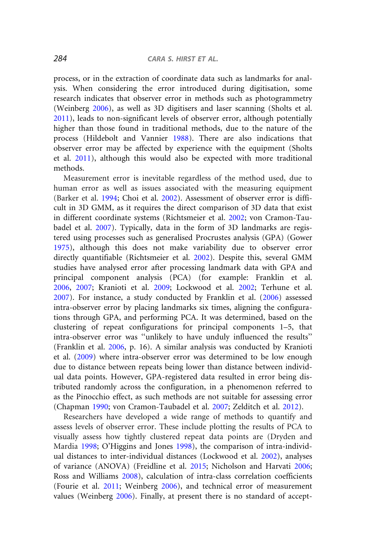process, or in the extraction of coordinate data such as landmarks for analysis. When considering the error introduced during digitisation, some research indicates that observer error in methods such as photogrammetry (Weinberg [2006](#page-25-0)), as well as 3D digitisers and laser scanning (Sholts et al. [2011](#page-24-0)), leads to non-significant levels of observer error, although potentially higher than those found in traditional methods, due to the nature of the process (Hildebolt and Vannier [1988\)](#page-20-0). There are also indications that observer error may be affected by experience with the equipment (Sholts et al. [2011](#page-24-0)), although this would also be expected with more traditional methods.

Measurement error is inevitable regardless of the method used, due to human error as well as issues associated with the measuring equipment (Barker et al. [1994;](#page-16-0) Choi et al. [2002](#page-18-0)). Assessment of observer error is difficult in 3D GMM, as it requires the direct comparison of 3D data that exist in different coordinate systems (Richtsmeier et al. [2002;](#page-24-0) von Cramon-Taubadel et al. [2007\)](#page-25-0). Typically, data in the form of 3D landmarks are registered using processes such as generalised Procrustes analysis (GPA) (Gower [1975](#page-19-0)), although this does not make variability due to observer error directly quantifiable (Richtsmeier et al. [2002\)](#page-24-0). Despite this, several GMM studies have analysed error after processing landmark data with GPA and principal component analysis (PCA) (for example: Franklin et al. [2006](#page-19-0), [2007](#page-19-0); Kranioti et al. [2009;](#page-21-0) Lockwood et al. [2002;](#page-21-0) Terhune et al. [2007](#page-25-0)). For instance, a study conducted by Franklin et al. ([2006\)](#page-19-0) assessed intra-observer error by placing landmarks six times, aligning the configurations through GPA, and performing PCA. It was determined, based on the clustering of repeat configurations for principal components 1–5, that intra-observer error was ''unlikely to have unduly influenced the results'' (Franklin et al. [2006](#page-19-0), p. 16). A similar analysis was conducted by Kranioti et al. [\(2009\)](#page-21-0) where intra-observer error was determined to be low enough due to distance between repeats being lower than distance between individual data points. However, GPA-registered data resulted in error being distributed randomly across the configuration, in a phenomenon referred to as the Pinocchio effect, as such methods are not suitable for assessing error (Chapman [1990;](#page-17-0) von Cramon-Taubadel et al. [2007](#page-25-0); Zelditch et al. [2012\)](#page-26-0).

Researchers have developed a wide range of methods to quantify and assess levels of observer error. These include plotting the results of PCA to visually assess how tightly clustered repeat data points are (Dryden and Mardia [1998](#page-18-0); O'Higgins and Jones [1998\)](#page-23-0), the comparison of intra-individual distances to inter-individual distances (Lockwood et al. [2002\)](#page-21-0), analyses of variance (ANOVA) (Freidline et al. [2015;](#page-19-0) Nicholson and Harvati [2006;](#page-23-0) Ross and Williams [2008\)](#page-24-0), calculation of intra-class correlation coefficients (Fourie et al. [2011](#page-19-0); Weinberg [2006\)](#page-25-0), and technical error of measurement values (Weinberg [2006\)](#page-25-0). Finally, at present there is no standard of accept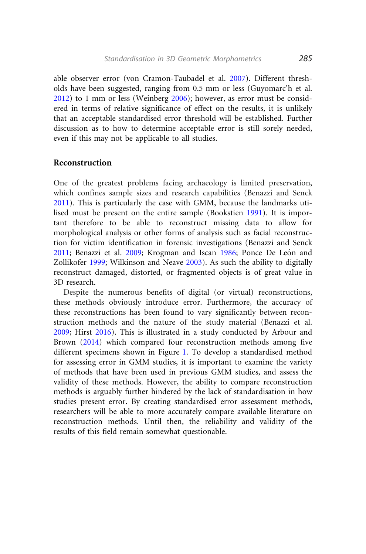able observer error (von Cramon-Taubadel et al. [2007\)](#page-25-0). Different thresholds have been suggested, ranging from 0.5 mm or less (Guyomarc'h et al. [2012](#page-20-0)) to 1 mm or less (Weinberg [2006\)](#page-25-0); however, as error must be considered in terms of relative significance of effect on the results, it is unlikely that an acceptable standardised error threshold will be established. Further discussion as to how to determine acceptable error is still sorely needed, even if this may not be applicable to all studies.

### Reconstruction

One of the greatest problems facing archaeology is limited preservation, which confines sample sizes and research capabilities (Benazzi and Senck [2011](#page-16-0)). This is particularly the case with GMM, because the landmarks utilised must be present on the entire sample (Bookstien [1991](#page-17-0)). It is important therefore to be able to reconstruct missing data to allow for morphological analysis or other forms of analysis such as facial reconstruction for victim identification in forensic investigations (Benazzi and Senck [2011](#page-16-0); Benazzi et al. [2009](#page-16-0); Krogman and Iscan [1986;](#page-21-0) Ponce De León and Zollikofer [1999](#page-24-0); Wilkinson and Neave [2003\)](#page-26-0). As such the ability to digitally reconstruct damaged, distorted, or fragmented objects is of great value in 3D research.

Despite the numerous benefits of digital (or virtual) reconstructions, these methods obviously introduce error. Furthermore, the accuracy of these reconstructions has been found to vary significantly between reconstruction methods and the nature of the study material (Benazzi et al. [2009](#page-16-0); Hirst [2016\)](#page-20-0). This is illustrated in a study conducted by Arbour and Brown ([2014\)](#page-16-0) which compared four reconstruction methods among five different specimens shown in Figure [1.](#page-14-0) To develop a standardised method for assessing error in GMM studies, it is important to examine the variety of methods that have been used in previous GMM studies, and assess the validity of these methods. However, the ability to compare reconstruction methods is arguably further hindered by the lack of standardisation in how studies present error. By creating standardised error assessment methods, researchers will be able to more accurately compare available literature on reconstruction methods. Until then, the reliability and validity of the results of this field remain somewhat questionable.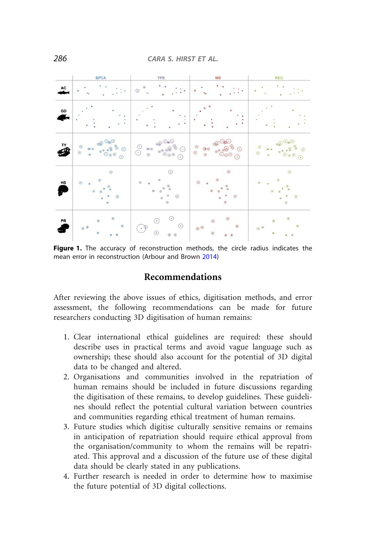<span id="page-14-0"></span>

|    | <b>BPCA</b>                                                                  | <b>TPS</b>                                                                                                     | <b>MS</b>                                                                                            | <b>REG</b>                                |
|----|------------------------------------------------------------------------------|----------------------------------------------------------------------------------------------------------------|------------------------------------------------------------------------------------------------------|-------------------------------------------|
| AC |                                                                              | ٠<br>$^\circ$<br>$\odot$<br>۰.                                                                                 |                                                                                                      |                                           |
| GD |                                                                              |                                                                                                                |                                                                                                      |                                           |
| Š  | $\otimes$ $\circ$<br>$^{\circ}$<br>$\circ$<br>$\odot$<br>$\circ$<br>$^\circ$ | $\circledcirc^\circ_\text{mO}$<br>8888<br>$\odot$<br>$\circledast$ $\circledast$<br>C<br>$_{\odot}$<br>$\odot$ | $\circledcirc \circledcirc$<br><b>8888</b><br>$^{\circ}$<br>$^{\circ}_{\circ}$<br>$\odot$<br>$\odot$ | OOOO<br>$^{\circ}$<br>$\odot$<br>. .<br>ä |
| HS | $_{\odot}$<br>$\odot$<br>$\odot$<br>$\odot$<br>a<br>$_{\odot}$<br>ø          | $\odot$<br>$^{(i)}$<br>$\odot$<br>G)<br>$\circ$<br>O)<br>¢<br>$_{\odot}$<br>$\alpha$<br>$_{\odot}$             | $_{\odot}$<br>$\odot$<br>$\circ$<br>$\odot$<br>$\circ$                                               | $\odot$<br>$\odot$<br>$\odot$<br>$\odot$  |
| PR | $\odot$<br>$_{\odot}$<br>$_{\odot}$<br>$\circ$<br>۵                          | $\odot$<br>$_{\odot}$<br>$\odot$<br>$\cdot$ 9<br>$_{\odot}$<br>$\circ$ $\circ$                                 | $_{\odot}$<br>$\odot$<br>$\odot$<br>$\circ$<br>$_{\odot}$<br>$\circ$<br>$^{\circ}$                   | $\odot$<br>$\odot$<br>$\circ$<br>$\circ$  |

Figure 1. The accuracy of reconstruction methods, the circle radius indicates the mean error in reconstruction (Arbour and Brown [2014](#page-16-0))

# Recommendations

After reviewing the above issues of ethics, digitisation methods, and error assessment, the following recommendations can be made for future researchers conducting 3D digitisation of human remains:

- 1. Clear international ethical guidelines are required: these should describe uses in practical terms and avoid vague language such as ownership; these should also account for the potential of 3D digital data to be changed and altered.
- 2. Organisations and communities involved in the repatriation of human remains should be included in future discussions regarding the digitisation of these remains, to develop guidelines. These guidelines should reflect the potential cultural variation between countries and communities regarding ethical treatment of human remains.
- 3. Future studies which digitise culturally sensitive remains or remains in anticipation of repatriation should require ethical approval from the organisation/community to whom the remains will be repatriated. This approval and a discussion of the future use of these digital data should be clearly stated in any publications.
- 4. Further research is needed in order to determine how to maximise the future potential of 3D digital collections.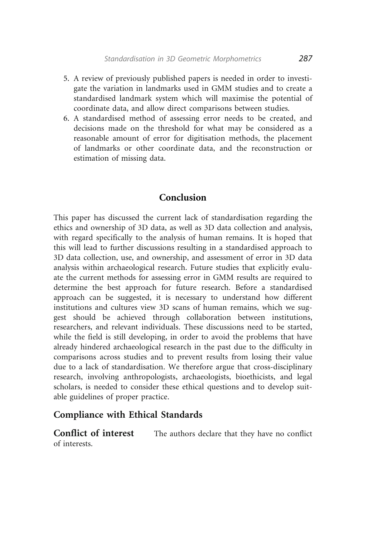- 5. A review of previously published papers is needed in order to investigate the variation in landmarks used in GMM studies and to create a standardised landmark system which will maximise the potential of coordinate data, and allow direct comparisons between studies.
- 6. A standardised method of assessing error needs to be created, and decisions made on the threshold for what may be considered as a reasonable amount of error for digitisation methods, the placement of landmarks or other coordinate data, and the reconstruction or estimation of missing data.

# Conclusion

This paper has discussed the current lack of standardisation regarding the ethics and ownership of 3D data, as well as 3D data collection and analysis, with regard specifically to the analysis of human remains. It is hoped that this will lead to further discussions resulting in a standardised approach to 3D data collection, use, and ownership, and assessment of error in 3D data analysis within archaeological research. Future studies that explicitly evaluate the current methods for assessing error in GMM results are required to determine the best approach for future research. Before a standardised approach can be suggested, it is necessary to understand how different institutions and cultures view 3D scans of human remains, which we suggest should be achieved through collaboration between institutions, researchers, and relevant individuals. These discussions need to be started, while the field is still developing, in order to avoid the problems that have already hindered archaeological research in the past due to the difficulty in comparisons across studies and to prevent results from losing their value due to a lack of standardisation. We therefore argue that cross-disciplinary research, involving anthropologists, archaeologists, bioethicists, and legal scholars, is needed to consider these ethical questions and to develop suitable guidelines of proper practice.

### Compliance with Ethical Standards

Conflict of interest The authors declare that they have no conflict of interests.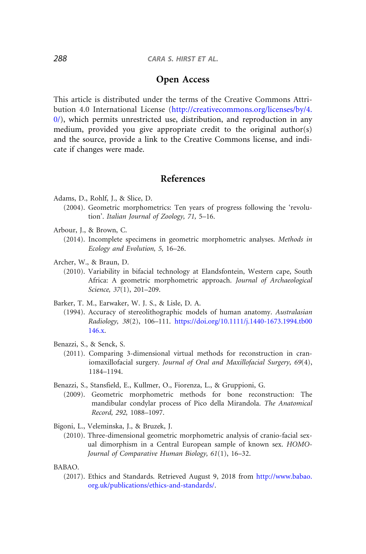# Open Access

<span id="page-16-0"></span>This article is distributed under the terms of the Creative Commons Attribution 4.0 International License [\(http://creativecommons.org/licenses/by/4.](http://creativecommons.org/licenses/by/4.0/)  $0$ , which permits unrestricted use, distribution, and reproduction in any medium, provided you give appropriate credit to the original author(s) and the source, provide a link to the Creative Commons license, and indicate if changes were made.

### References

- Adams, D., Rohlf, J., & Slice, D.
	- (2004). Geometric morphometrics: Ten years of progress following the 'revolution'. Italian Journal of Zoology, 71, 5–16.
- Arbour, J., & Brown, C.
- (2014). Incomplete specimens in geometric morphometric analyses. Methods in Ecology and Evolution, 5, 16–26.
- Archer, W., & Braun, D.
	- (2010). Variability in bifacial technology at Elandsfontein, Western cape, South Africa: A geometric morphometric approach. Journal of Archaeological Science, 37(1), 201–209.
- Barker, T. M., Earwaker, W. J. S., & Lisle, D. A.
	- (1994). Accuracy of stereolithographic models of human anatomy. Australasian Radiology, 38(2), 106–111. [https://doi.org/10.1111/j.1440-1673.1994.tb00](https://doi.org/10.1111/j.1440-1673.1994.tb00146.x) [146.x](https://doi.org/10.1111/j.1440-1673.1994.tb00146.x).
- Benazzi, S., & Senck, S.
	- (2011). Comparing 3-dimensional virtual methods for reconstruction in craniomaxillofacial surgery. Journal of Oral and Maxillofacial Surgery, 69(4), 1184–1194.
- Benazzi, S., Stansfield, E., Kullmer, O., Fiorenza, L., & Gruppioni, G.
	- (2009). Geometric morphometric methods for bone reconstruction: The mandibular condylar process of Pico della Mirandola. The Anatomical Record, 292, 1088–1097.
- Bigoni, L., Veleminska, J., & Bruzek, J.
	- (2010). Three-dimensional geometric morphometric analysis of cranio-facial sexual dimorphism in a Central European sample of known sex. HOMO-Journal of Comparative Human Biology, 61(1), 16–32.
- BABAO.
	- (2017). Ethics and Standards. Retrieved August 9, 2018 from [http://www.babao.](http://www.babao.org.uk/publications/ethics-and-standards/) [org.uk/publications/ethics-and-standards/.](http://www.babao.org.uk/publications/ethics-and-standards/)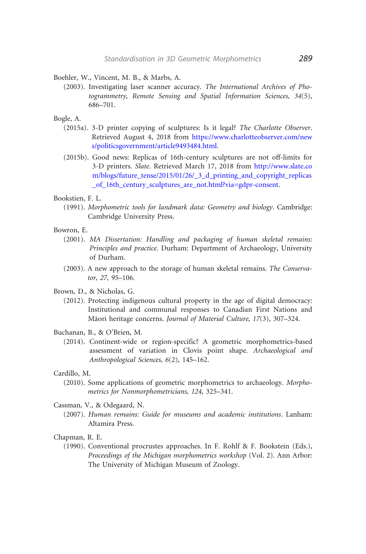<span id="page-17-0"></span>Boehler, W., Vincent, M. B., & Marbs, A.

(2003). Investigating laser scanner accuracy. The International Archives of Photogrammetry, Remote Sensing and Spatial Information Sciences, 34(5), 686–701.

Bogle, A.

- (2015a). 3-D printer copying of sculptures: Is it legal? The Charlotte Observer. Retrieved August 4, 2018 from [https://www.charlotteobserver.com/new](https://www.charlotteobserver.com/news/politicsgovernment/article9493484.html) [s/politicsgovernment/article9493484.html.](https://www.charlotteobserver.com/news/politicsgovernment/article9493484.html)
- (2015b). Good news: Replicas of 16th-century sculptures are not off-limits for 3-D printers. Slate. Retrieved March 17, 2018 from [http://www.slate.co](http://www.slate.com/blogs/future_tense/2015/01/26/_3_d_printing_and_copyright_replicas_of_16th_century_sculptures_are_not.html?via=gdpr-consent) [m/blogs/future\\_tense/2015/01/26/\\_3\\_d\\_printing\\_and\\_copyright\\_replicas](http://www.slate.com/blogs/future_tense/2015/01/26/_3_d_printing_and_copyright_replicas_of_16th_century_sculptures_are_not.html?via=gdpr-consent) of 16th century sculptures are not.html?via=gdpr-consent.

Bookstien, F. L.

(1991). Morphometric tools for landmark data: Geometry and biology. Cambridge: Cambridge University Press.

Bowron, E.

- (2001). MA Dissertation: Handling and packaging of human skeletal remains: Principles and practice. Durham: Department of Archaeology, University of Durham.
- (2003). A new approach to the storage of human skeletal remains. The Conservator, 27, 95–106.

Brown, D., & Nicholas, G.

- (2012). Protecting indigenous cultural property in the age of digital democracy: Institutional and communal responses to Canadian First Nations and Māori heritage concerns. Journal of Material Culture, 17(3), 307-324.
- Buchanan, B., & O'Brien, M.
	- (2014). Continent-wide or region-specific? A geometric morphometrics-based assessment of variation in Clovis point shape. Archaeological and Anthropological Sciences, 6(2), 145–162.

Cardillo, M.

(2010). Some applications of geometric morphometrics to archaeology. Morphometrics for Nonmorphometricians, 124, 325–341.

Cassman, V., & Odegaard, N.

(2007). Human remains: Guide for museums and academic institutions. Lanham: Altamira Press.

Chapman, R. E.

(1990). Conventional procrustes approaches. In F. Rohlf & F. Bookstein (Eds.), Proceedings of the Michigan morphometrics workshop (Vol. 2). Ann Arbor: The University of Michigan Museum of Zoology.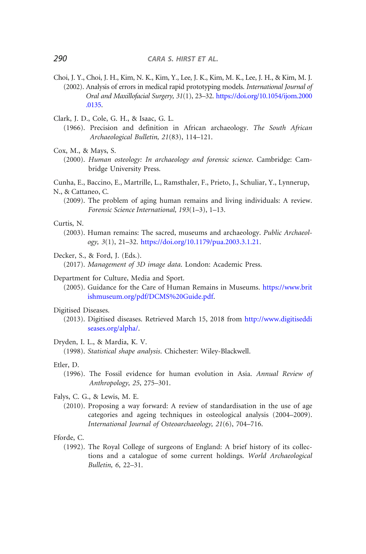- <span id="page-18-0"></span>Choi, J. Y., Choi, J. H., Kim, N. K., Kim, Y., Lee, J. K., Kim, M. K., Lee, J. H., & Kim, M. J. (2002). Analysis of errors in medical rapid prototyping models. International Journal of Oral and Maxillofacial Surgery, 31(1), 23–32. [https://doi.org/10.1054/ijom.2000](https://doi.org/10.1054/ijom.2000.0135) [.0135](https://doi.org/10.1054/ijom.2000.0135).
- Clark, J. D., Cole, G. H., & Isaac, G. L.
	- (1966). Precision and definition in African archaeology. The South African Archaeological Bulletin, 21(83), 114–121.
- Cox, M., & Mays, S.
	- (2000). Human osteology: In archaeology and forensic science. Cambridge: Cambridge University Press.

Cunha, E., Baccino, E., Martrille, L., Ramsthaler, F., Prieto, J., Schuliar, Y., Lynnerup, N., & Cattaneo, C.

(2009). The problem of aging human remains and living individuals: A review. Forensic Science International, 193(1–3), 1–13.

Curtis, N.

- (2003). Human remains: The sacred, museums and archaeology. Public Archaeology, 3(1), 21–32. [https://doi.org/10.1179/pua.2003.3.1.21.](https://doi.org/10.1179/pua.2003.3.1.21)
- Decker, S., & Ford, J. (Eds.).

(2017). Management of 3D image data. London: Academic Press.

- Department for Culture, Media and Sport.
	- (2005). Guidance for the Care of Human Remains in Museums. [https://www.brit](https://www.britishmuseum.org/pdf/DCMS%20Guide.pdf) [ishmuseum.org/pdf/DCMS%20Guide.pdf](https://www.britishmuseum.org/pdf/DCMS%20Guide.pdf).

#### Digitised Diseases.

- (2013). Digitised diseases. Retrieved March 15, 2018 from [http://www.digitiseddi](http://www.digitiseddiseases.org/alpha/) [seases.org/alpha/.](http://www.digitiseddiseases.org/alpha/)
- Dryden, I. L., & Mardia, K. V.

(1998). Statistical shape analysis. Chichester: Wiley-Blackwell.

#### Etler, D.

- (1996). The Fossil evidence for human evolution in Asia. Annual Review of Anthropology, 25, 275–301.
- Falys, C. G., & Lewis, M. E.
	- (2010). Proposing a way forward: A review of standardisation in the use of age categories and ageing techniques in osteological analysis (2004–2009). International Journal of Osteoarchaeology, 21(6), 704–716.

Fforde, C.

(1992). The Royal College of surgeons of England: A brief history of its collections and a catalogue of some current holdings. World Archaeological Bulletin, 6, 22–31.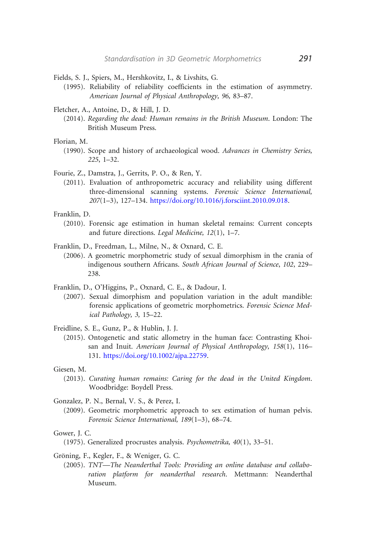- <span id="page-19-0"></span>Fields, S. J., Spiers, M., Hershkovitz, I., & Livshits, G.
	- (1995). Reliability of reliability coefficients in the estimation of asymmetry. American Journal of Physical Anthropology, 96, 83–87.

Fletcher, A., Antoine, D., & Hill, J. D.

(2014). Regarding the dead: Human remains in the British Museum. London: The British Museum Press.

Florian, M.

(1990). Scope and history of archaeological wood. Advances in Chemistry Series, 225, 1–32.

Fourie, Z., Damstra, J., Gerrits, P. O., & Ren, Y.

(2011). Evaluation of anthropometric accuracy and reliability using different three-dimensional scanning systems. Forensic Science International, 207(1–3), 127–134. [https://doi.org/10.1016/j.forsciint.2010.09.018.](https://doi.org/10.1016/j.forsciint.2010.09.018)

Franklin, D.

(2010). Forensic age estimation in human skeletal remains: Current concepts and future directions. Legal Medicine, 12(1), 1–7.

Franklin, D., Freedman, L., Milne, N., & Oxnard, C. E.

- (2006). A geometric morphometric study of sexual dimorphism in the crania of indigenous southern Africans. South African Journal of Science, 102, 229– 238.
- Franklin, D., O'Higgins, P., Oxnard, C. E., & Dadour, I.
	- (2007). Sexual dimorphism and population variation in the adult mandible: forensic applications of geometric morphometrics. Forensic Science Medical Pathology, 3, 15–22.

Freidline, S. E., Gunz, P., & Hublin, J. J.

(2015). Ontogenetic and static allometry in the human face: Contrasting Khoisan and Inuit. American Journal of Physical Anthropology, 158(1), 116– 131. [https://doi.org/10.1002/ajpa.22759.](https://doi.org/10.1002/ajpa.22759)

Giesen, M.

(2013). Curating human remains: Caring for the dead in the United Kingdom. Woodbridge: Boydell Press.

Gonzalez, P. N., Bernal, V. S., & Perez, I.

(2009). Geometric morphometric approach to sex estimation of human pelvis. Forensic Science International, 189(1–3), 68–74.

Gower, J. C.

(1975). Generalized procrustes analysis. Psychometrika, 40(1), 33–51.

Gröning, F., Kegler, F., & Weniger, G. C.

(2005). TNT—The Neanderthal Tools: Providing an online database and collaboration platform for neanderthal research. Mettmann: Neanderthal Museum.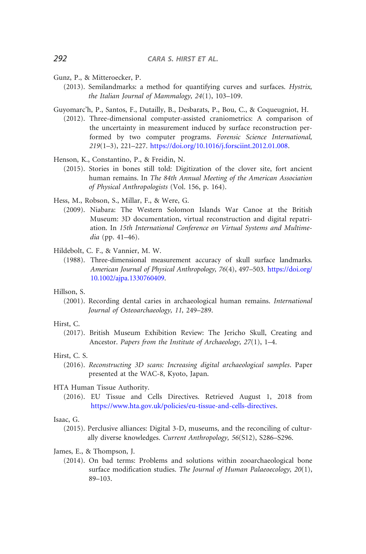- <span id="page-20-0"></span>Gunz, P., & Mitteroecker, P.
	- (2013). Semilandmarks: a method for quantifying curves and surfaces. Hystrix, the Italian Journal of Mammalogy, 24(1), 103–109.
- Guyomarc'h, P., Santos, F., Dutailly, B., Desbarats, P., Bou, C., & Coqueugniot, H.
	- (2012). Three-dimensional computer-assisted craniometrics: A comparison of the uncertainty in measurement induced by surface reconstruction performed by two computer programs. Forensic Science International, 219(1–3), 221–227. [https://doi.org/10.1016/j.forsciint.2012.01.008.](https://doi.org/10.1016/j.forsciint.2012.01.008)
- Henson, K., Constantino, P., & Freidin, N.
	- (2015). Stories in bones still told: Digitization of the clover site, fort ancient human remains. In The 84th Annual Meeting of the American Association of Physical Anthropologists (Vol. 156, p. 164).
- Hess, M., Robson, S., Millar, F., & Were, G.
	- (2009). Niabara: The Western Solomon Islands War Canoe at the British Museum: 3D documentation, virtual reconstruction and digital repatriation. In 15th International Conference on Virtual Systems and Multimedia (pp. 41–46).
- Hildebolt, C. F., & Vannier, M. W.
	- (1988). Three-dimensional measurement accuracy of skull surface landmarks. American Journal of Physical Anthropology, 76(4), 497–503. [https://doi.org/](https://doi.org/10.1002/ajpa.1330760409) [10.1002/ajpa.1330760409](https://doi.org/10.1002/ajpa.1330760409).
- Hillson, S.
	- (2001). Recording dental caries in archaeological human remains. International Journal of Osteoarchaeology, 11, 249–289.
- Hirst, C.
	- (2017). British Museum Exhibition Review: The Jericho Skull, Creating and Ancestor. Papers from the Institute of Archaeology, 27(1), 1–4.
- Hirst, C. S.
	- (2016). Reconstructing 3D scans: Increasing digital archaeological samples. Paper presented at the WAC-8, Kyoto, Japan.
- HTA Human Tissue Authority.
	- (2016). EU Tissue and Cells Directives. Retrieved August 1, 2018 from <https://www.hta.gov.uk/policies/eu-tissue-and-cells-directives>.

#### Isaac, G.

- (2015). Perclusive alliances: Digital 3-D, museums, and the reconciling of culturally diverse knowledges. Current Anthropology, 56(S12), S286–S296.
- James, E., & Thompson, J.
	- (2014). On bad terms: Problems and solutions within zooarchaeological bone surface modification studies. The Journal of Human Palaeoecology, 20(1), 89–103.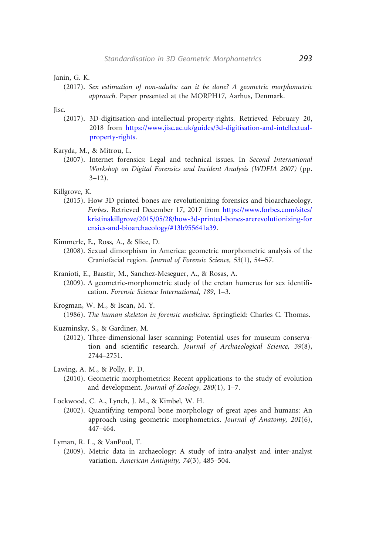<span id="page-21-0"></span>Janin, G. K.

(2017). Sex estimation of non-adults: can it be done? A geometric morphometric approach. Paper presented at the MORPH17, Aarhus, Denmark.

Jisc.

- (2017). 3D-digitisation-and-intellectual-property-rights. Retrieved February 20, 2018 from [https://www.jisc.ac.uk/guides/3d-digitisation-and-intellectual](https://www.jisc.ac.uk/guides/3d-digitisation-and-intellectual-property-rights)[property-rights.](https://www.jisc.ac.uk/guides/3d-digitisation-and-intellectual-property-rights)
- Karyda, M., & Mitrou, L.
	- (2007). Internet forensics: Legal and technical issues. In Second International Workshop on Digital Forensics and Incident Analysis (WDFIA 2007) (pp.  $3 - 12$ ).

Killgrove, K.

- (2015). How 3D printed bones are revolutionizing forensics and bioarchaeology. Forbes. Retrieved December 17, 2017 from [https://www.forbes.com/sites/](https://www.forbes.com/sites/kristinakillgrove/2015/05/28/how-3d-printed-bones-arerevolutionizing-forensics-and-bioarchaeology/#13b955641a39) [kristinakillgrove/2015/05/28/how-3d-printed-bones-arerevolutionizing-for](https://www.forbes.com/sites/kristinakillgrove/2015/05/28/how-3d-printed-bones-arerevolutionizing-forensics-and-bioarchaeology/#13b955641a39) [ensics-and-bioarchaeology/#13b955641a39.](https://www.forbes.com/sites/kristinakillgrove/2015/05/28/how-3d-printed-bones-arerevolutionizing-forensics-and-bioarchaeology/#13b955641a39)
- Kimmerle, E., Ross, A., & Slice, D.
	- (2008). Sexual dimorphism in America: geometric morphometric analysis of the Craniofacial region. Journal of Forensic Science, 53(1), 54–57.
- Kranioti, E., Baastir, M., Sanchez-Meseguer, A., & Rosas, A.
	- (2009). A geometric-morphometric study of the cretan humerus for sex identification. Forensic Science International, 189, 1–3.
- Krogman, W. M., & Iscan, M. Y.
	- (1986). The human skeleton in forensic medicine. Springfield: Charles C. Thomas.
- Kuzminsky, S., & Gardiner, M.
	- (2012). Three-dimensional laser scanning: Potential uses for museum conservation and scientific research. Journal of Archaeological Science, 39(8), 2744–2751.
- Lawing, A. M., & Polly, P. D.
	- (2010). Geometric morphometrics: Recent applications to the study of evolution and development. Journal of Zoology, 280(1), 1-7.

Lockwood, C. A., Lynch, J. M., & Kimbel, W. H.

- (2002). Quantifying temporal bone morphology of great apes and humans: An approach using geometric morphometrics. Journal of Anatomy, 201(6), 447–464.
- Lyman, R. L., & VanPool, T.
	- (2009). Metric data in archaeology: A study of intra-analyst and inter-analyst variation. American Antiquity, 74(3), 485–504.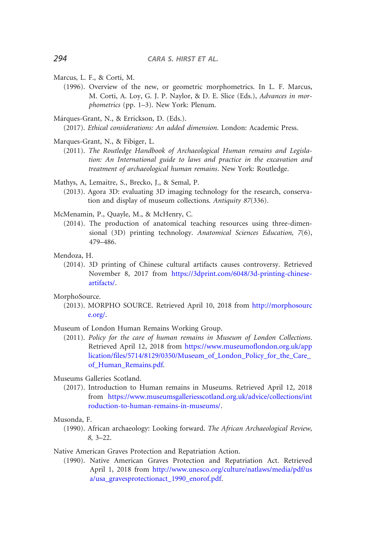- <span id="page-22-0"></span>Marcus, L. F., & Corti, M.
	- (1996). Overview of the new, or geometric morphometrics. In L. F. Marcus, M. Corti, A. Loy, G. J. P. Naylor, & D. E. Slice (Eds.), Advances in morphometrics (pp. 1–3). New York: Plenum.
- Márques-Grant, N., & Errickson, D. (Eds.).

(2017). Ethical considerations: An added dimension. London: Academic Press.

- Marques-Grant, N., & Fibiger, L.
	- (2011). The Routledge Handbook of Archaeological Human remains and Legislation: An International guide to laws and practice in the excavation and treatment of archaeological human remains. New York: Routledge.

Mathys, A, Lemaitre, S., Brecko, J., & Semal, P.

(2013). Agora 3D: evaluating 3D imaging technology for the research, conservation and display of museum collections. Antiquity 87(336).

McMenamin, P., Quayle, M., & McHenry, C.

(2014). The production of anatomical teaching resources using three-dimensional (3D) printing technology. Anatomical Sciences Education, 7(6), 479–486.

Mendoza, H.

(2014). 3D printing of Chinese cultural artifacts causes controversy. Retrieved November 8, 2017 from [https://3dprint.com/6048/3d-printing-chinese](https://3dprint.com/6048/3d-printing-chinese-artifacts/)[artifacts/](https://3dprint.com/6048/3d-printing-chinese-artifacts/).

MorphoSource.

(2013). MORPHO SOURCE. Retrieved April 10, 2018 from [http://morphosourc](http://morphosource.org/) [e.org/](http://morphosource.org/).

Museum of London Human Remains Working Group.

(2011). Policy for the care of human remains in Museum of London Collections. Retrieved April 12, 2018 from [https://www.museumoflondon.org.uk/app](https://www.museumoflondon.org.uk/application/files/5714/8129/0350/Museum_of_London_Policy_for_the_Care_of_Human_Remains.pdf) [lication/files/5714/8129/0350/Museum\\_of\\_London\\_Policy\\_for\\_the\\_Care\\_](https://www.museumoflondon.org.uk/application/files/5714/8129/0350/Museum_of_London_Policy_for_the_Care_of_Human_Remains.pdf) [of\\_Human\\_Remains.pdf.](https://www.museumoflondon.org.uk/application/files/5714/8129/0350/Museum_of_London_Policy_for_the_Care_of_Human_Remains.pdf)

Museums Galleries Scotland.

(2017). Introduction to Human remains in Museums. Retrieved April 12, 2018 from [https://www.museumsgalleriesscotland.org.uk/advice/collections/int](https://www.museumsgalleriesscotland.org.uk/advice/collections/introduction-to-human-remains-in-museums/) [roduction-to-human-remains-in-museums/](https://www.museumsgalleriesscotland.org.uk/advice/collections/introduction-to-human-remains-in-museums/).

#### Musonda, F.

(1990). African archaeology: Looking forward. The African Archaeological Review, 8, 3–22.

Native American Graves Protection and Repatriation Action.

(1990). Native American Graves Protection and Repatriation Act. Retrieved April 1, 2018 from [http://www.unesco.org/culture/natlaws/media/pdf/us](http://www.unesco.org/culture/natlaws/media/pdf/usa/usa_gravesprotectionact_1990_enorof.pdf) [a/usa\\_gravesprotectionact\\_1990\\_enorof.pdf.](http://www.unesco.org/culture/natlaws/media/pdf/usa/usa_gravesprotectionact_1990_enorof.pdf)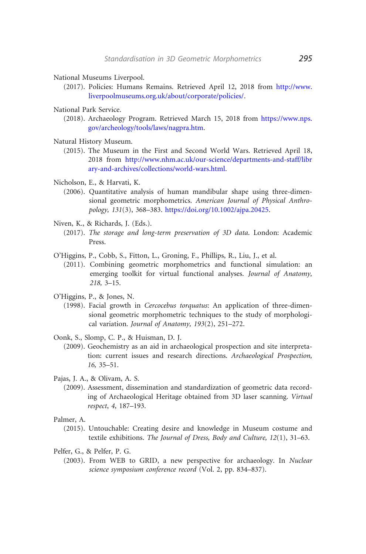<span id="page-23-0"></span>National Museums Liverpool.

(2017). Policies: Humans Remains. Retrieved April 12, 2018 from [http://www.](http://www.liverpoolmuseums.org.uk/about/corporate/policies/) [liverpoolmuseums.org.uk/about/corporate/policies/](http://www.liverpoolmuseums.org.uk/about/corporate/policies/).

National Park Service.

- (2018). Archaeology Program. Retrieved March 15, 2018 from [https://www.nps.](https://www.nps.gov/archeology/tools/laws/nagpra.htm) [gov/archeology/tools/laws/nagpra.htm](https://www.nps.gov/archeology/tools/laws/nagpra.htm).
- Natural History Museum.
	- (2015). The Museum in the First and Second World Wars. Retrieved April 18, 2018 from [http://www.nhm.ac.uk/our-science/departments-and-staff/libr](http://www.nhm.ac.uk/our-science/departments-and-staff/library-and-archives/collections/world-wars.html) [ary-and-archives/collections/world-wars.html.](http://www.nhm.ac.uk/our-science/departments-and-staff/library-and-archives/collections/world-wars.html)
- Nicholson, E., & Harvati, K.
	- (2006). Quantitative analysis of human mandibular shape using three-dimensional geometric morphometrics. American Journal of Physical Anthropology, 131(3), 368–383. [https://doi.org/10.1002/ajpa.20425.](https://doi.org/10.1002/ajpa.20425)
- Niven, K., & Richards, J. (Eds.).
	- (2017). The storage and long-term preservation of 3D data. London: Academic Press.
- O'Higgins, P., Cobb, S., Fitton, L., Groning, F., Phillips, R., Liu, J., et al.
	- (2011). Combining geometric morphometrics and functional simulation: an emerging toolkit for virtual functional analyses. Journal of Anatomy, 218, 3–15.
- O'Higgins, P., & Jones, N.
	- (1998). Facial growth in Cercocebus torquatus: An application of three-dimensional geometric morphometric techniques to the study of morphological variation. Journal of Anatomy, 193(2), 251–272.
- Oonk, S., Slomp, C. P., & Huisman, D. J.
	- (2009). Geochemistry as an aid in archaeological prospection and site interpretation: current issues and research directions. Archaeological Prospection, 16, 35–51.
- Pajas, J. A., & Olivam, A. S.
	- (2009). Assessment, dissemination and standardization of geometric data recording of Archaeological Heritage obtained from 3D laser scanning. Virtual respect, 4, 187–193.
- Palmer, A.
	- (2015). Untouchable: Creating desire and knowledge in Museum costume and textile exhibitions. The Journal of Dress, Body and Culture, 12(1), 31–63.
- Pelfer, G., & Pelfer, P. G.
	- (2003). From WEB to GRID, a new perspective for archaeology. In Nuclear science symposium conference record (Vol. 2, pp. 834–837).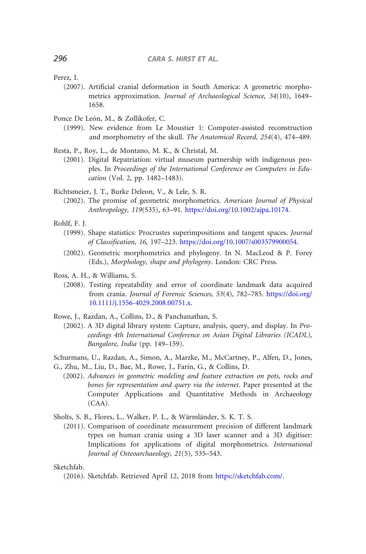<span id="page-24-0"></span>Perez, I.

- (2007). Artificial cranial deformation in South America: A geometric morphometrics approximation. Journal of Archaeological Science, 34(10), 1649– 1658.
- Ponce De León, M., & Zollikofer, C.
	- (1999). New evidence from Le Moustier 1: Computer-assisted reconstruction and morphometry of the skull. The Anatomical Record, 254(4), 474–489.
- Resta, P., Roy, L., de Montano, M. K., & Christal, M.
	- (2001). Digital Repatriation: virtual museum partnership with indigenous peoples. In Proceedings of the International Conference on Computers in Education (Vol. 2, pp. 1482–1483).
- Richtsmeier, J. T., Burke Deleon, V., & Lele, S. R.
	- (2002). The promise of geometric morphometrics. American Journal of Physical Anthropology, 119(S35), 63–91. [https://doi.org/10.1002/ajpa.10174.](https://doi.org/10.1002/ajpa.10174)
- Rohlf, F. J.
	- (1999). Shape statistics: Procrustes superimpositions and tangent spaces. Journal of Classification, 16, 197–223. [https://doi.org/10.1007/s003579900054.](https://doi.org/10.1007/s003579900054)
	- (2002). Geometric morphometrics and phylogeny. In N. MacLeod & P. Forey (Eds.), Morphology, shape and phylogeny. London: CRC Press.
- Ross, A. H., & Williams, S.
	- (2008). Testing repeatability and error of coordinate landmark data acquired from crania. Journal of Forensic Sciences, 53(4), 782-785. [https://doi.org/](https://doi.org/10.1111/j.1556-4029.2008.00751.x) [10.1111/j.1556-4029.2008.00751.x](https://doi.org/10.1111/j.1556-4029.2008.00751.x).
- Rowe, J., Razdan, A., Collins, D., & Panchanathan, S.
	- (2002). A 3D digital library system: Capture, analysis, query, and display. In Proceedings 4th International Conference on Asian Digital Libraries (ICADL), Bangalore, India (pp. 149–159).

Schurmans, U., Razdan, A., Simon, A., Marzke, M., McCartney, P., Alfen, D., Jones, G., Zhu, M., Liu, D., Bae, M., Rowe, J., Farin, G., & Collins, D.

(2002). Advances in geometric modeling and feature extraction on pots, rocks and bones for representation and query via the internet. Paper presented at the Computer Applications and Quantitative Methods in Archaeology (CAA).

Sholts, S. B., Flores, L., Walker, P. L., & Wärmländer, S. K. T. S.

(2011). Comparison of coordinate measurement precision of different landmark types on human crania using a 3D laser scanner and a 3D digitiser: Implications for applications of digital morphometrics. International Journal of Osteoarchaeology, 21(5), 535–543.

Sketchfab.

<sup>(2016).</sup> Sketchfab. Retrieved April 12, 2018 from <https://sketchfab.com/>.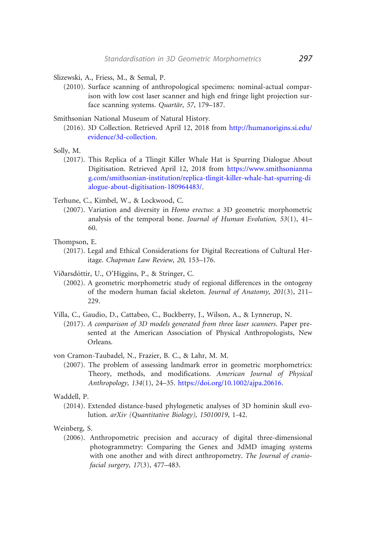<span id="page-25-0"></span>Slizewski, A., Friess, M., & Semal, P.

(2010). Surface scanning of anthropological specimens: nominal-actual comparison with low cost laser scanner and high end fringe light projection surface scanning systems. Quartär, 57, 179-187.

Smithsonian National Museum of Natural History.

(2016). 3D Collection. Retrieved April 12, 2018 from [http://humanorigins.si.edu/](http://humanorigins.si.edu/evidence/3d-collection) [evidence/3d-collection.](http://humanorigins.si.edu/evidence/3d-collection)

Solly, M.

(2017). This Replica of a Tlingit Killer Whale Hat is Spurring Dialogue About Digitisation. Retrieved April 12, 2018 from [https://www.smithsonianma](https://www.smithsonianmag.com/smithsonian-institution/replica-tlingit-killer-whale-hat-spurring-dialogue-about-digitisation-180964483/) [g.com/smithsonian-institution/replica-tlingit-killer-whale-hat-spurring-di](https://www.smithsonianmag.com/smithsonian-institution/replica-tlingit-killer-whale-hat-spurring-dialogue-about-digitisation-180964483/) [alogue-about-digitisation-180964483/.](https://www.smithsonianmag.com/smithsonian-institution/replica-tlingit-killer-whale-hat-spurring-dialogue-about-digitisation-180964483/)

Terhune, C., Kimbel, W., & Lockwood, C.

(2007). Variation and diversity in Homo erectus: a 3D geometric morphometric analysis of the temporal bone. Journal of Human Evolution, 53(1), 41– 60.

Thompson, E.

(2017). Legal and Ethical Considerations for Digital Recreations of Cultural Heritage. Chapman Law Review, 20, 153–176.

Viðarsdóttir, U., O'Higgins, P., & Stringer, C.

- (2002). A geometric morphometric study of regional differences in the ontogeny of the modern human facial skeleton. Journal of Anatomy, 201(3), 211– 229.
- Villa, C., Gaudio, D., Cattabeo, C., Buckberry, J., Wilson, A., & Lynnerup, N.
	- (2017). A comparison of 3D models generated from three laser scanners. Paper presented at the American Association of Physical Anthropologists, New Orleans.

von Cramon-Taubadel, N., Frazier, B. C., & Lahr, M. M.

(2007). The problem of assessing landmark error in geometric morphometrics: Theory, methods, and modifications. American Journal of Physical Anthropology, 134(1), 24–35. <https://doi.org/10.1002/ajpa.20616>.

#### Waddell, P.

(2014). Extended distance-based phylogenetic analyses of 3D hominin skull evolution. arXiv (Quantitative Biology), 15010019, 1-42.

#### Weinberg, S.

(2006). Anthropometric precision and accuracy of digital three-dimensional photogrammetry: Comparing the Genex and 3dMD imaging systems with one another and with direct anthropometry. The Journal of craniofacial surgery, 17(3), 477–483.